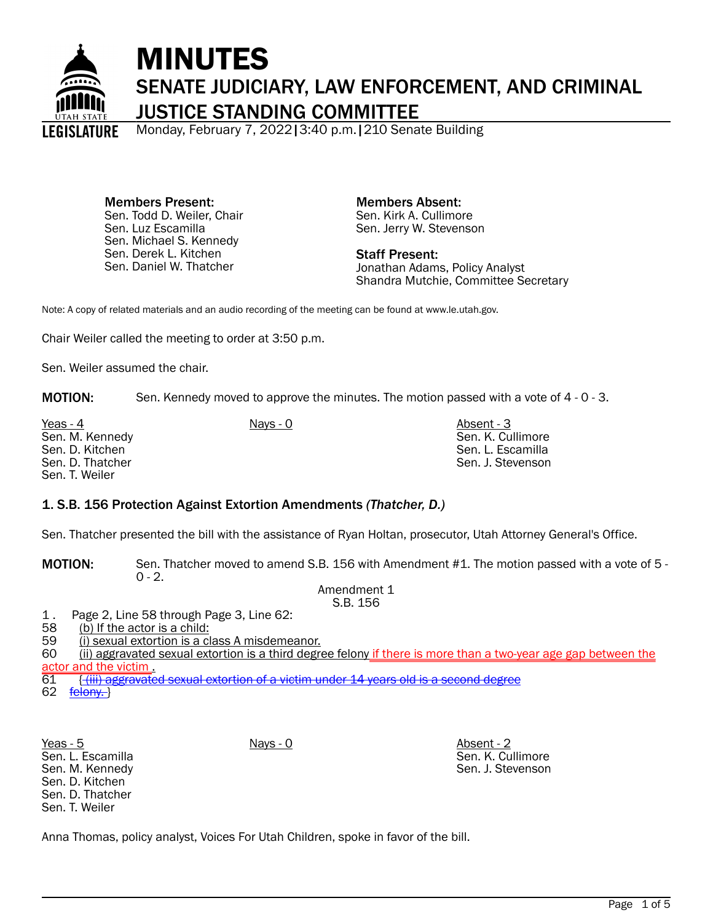

# MINUTES SENATE JUDICIARY, LAW ENFORCEMENT, AND CRIMINAL JUSTICE STANDING COMMITTEE

Monday, February 7, 2022|3:40 p.m.|210 Senate Building

Members Present: Sen. Todd D. Weiler, Chair Sen. Luz Escamilla Sen. Michael S. Kennedy Sen. Derek L. Kitchen Sen. Daniel W. Thatcher

Members Absent: Sen. Kirk A. Cullimore Sen. Jerry W. Stevenson

Staff Present: Jonathan Adams, Policy Analyst Shandra Mutchie, Committee Secretary

Note: A copy of related materials and an audio recording of the meeting can be found at www.le.utah.gov.

Chair Weiler called the meeting to order at 3:50 p.m.

Sen. Weiler assumed the chair.

MOTION: Sen. Kennedy moved to approve the minutes. The motion passed with a vote of 4 - 0 - 3.

Yeas - 4 Nays - 0 Nays - 0 Nays - 0 Absent - 3 Sen. M. Kennedy Sen. D. Kitchen Sen. D. Thatcher Sen. T. Weiler

Sen. K. Cullimore Sen. L. Escamilla Sen. J. Stevenson

# 1. S.B. 156 Protection Against Extortion Amendments *(Thatcher, D.)*

Sen. Thatcher presented the bill with the assistance of Ryan Holtan, prosecutor, Utah Attorney General's Office.

MOTION: Sen. Thatcher moved to amend S.B. 156 with Amendment #1. The motion passed with a vote of 5 -  $0 - 2.$ 

Amendment 1 S.B. 156

1. Page 2, Line 58 through Page 3, Line 62:<br>58 (b) If the actor is a child:

58 (b) If the actor is a child:<br>59 (i) sexual extortion is a cl

(i) sexual extortion is a class A misdemeanor.

60 (ii) aggravated sexual extortion is a third degree felony if there is more than a two-year age gap between the actor and the victim.<br>61 <del>((iii) aggravate</del>

**((iii) aggravated sexual extortion of a victim under 14 years old is a second degree** 

62 <u>felony.</u>

Sen. L. Escamilla Sen. M. Kennedy Sen. D. Kitchen Sen. D. Thatcher Sen. T. Weiler

Yeas - 5 Nays - 0 Absent - 2 Sen. K. Cullimore Sen. J. Stevenson

Anna Thomas, policy analyst, Voices For Utah Children, spoke in favor of the bill.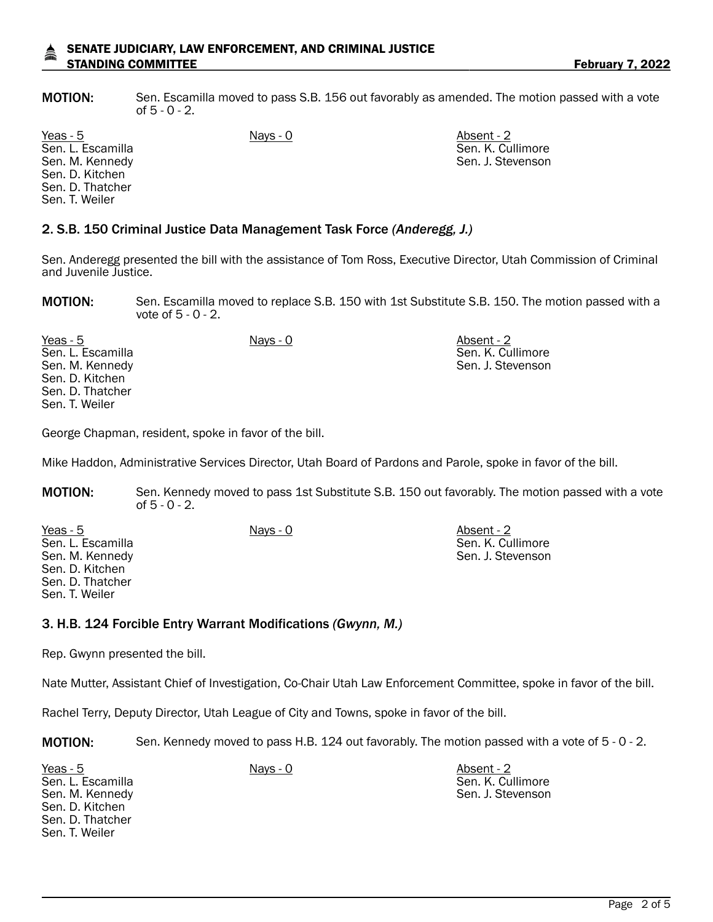## SENATE JUDICIARY, LAW ENFORCEMENT, AND CRIMINAL JUSTICE STANDING COMMITTEE **February 7, 2022**

MOTION: Sen. Escamilla moved to pass S.B. 156 out favorably as amended. The motion passed with a vote of 5 - 0 - 2.

Yeas - 5 Nays - 0 Absent - 2 Sen. L. Escamilla Sen. M. Kennedy Sen. D. Kitchen Sen. D. Thatcher Sen. T. Weiler

# 2. S.B. 150 Criminal Justice Data Management Task Force *(Anderegg, J.)*

Sen. Anderegg presented the bill with the assistance of Tom Ross, Executive Director, Utah Commission of Criminal and Juvenile Justice.

MOTION: Sen. Escamilla moved to replace S.B. 150 with 1st Substitute S.B. 150. The motion passed with a vote of 5 - 0 - 2.

Yeas - 5 Nays - 0 Absent - 2 Sen. L. Escamilla Sen. M. Kennedy Sen. D. Kitchen Sen. D. Thatcher Sen. T. Weiler

George Chapman, resident, spoke in favor of the bill.

Mike Haddon, Administrative Services Director, Utah Board of Pardons and Parole, spoke in favor of the bill.

MOTION: Sen. Kennedy moved to pass 1st Substitute S.B. 150 out favorably. The motion passed with a vote of 5 - 0 - 2.

Yeas - 5 Nays - 0 Absent - 2 Sen. L. Escamilla Sen. M. Kennedy Sen. D. Kitchen Sen. D. Thatcher Sen. T. Weiler Sen. K. Cullimore Sen. J. Stevenson

#### 3. H.B. 124 Forcible Entry Warrant Modifications *(Gwynn, M.)*

Rep. Gwynn presented the bill.

Nate Mutter, Assistant Chief of Investigation, Co-Chair Utah Law Enforcement Committee, spoke in favor of the bill.

Rachel Terry, Deputy Director, Utah League of City and Towns, spoke in favor of the bill.

MOTION: Sen. Kennedy moved to pass H.B. 124 out favorably. The motion passed with a vote of 5 - 0 - 2.

Yeas - 5 Nays - 0 Absent - 2 Sen. L. Escamilla Sen. M. Kennedy Sen. D. Kitchen Sen. D. Thatcher Sen. T. Weiler

Sen. K. Cullimore Sen. J. Stevenson

Sen. K. Cullimore Sen. J. Stevenson

Sen. K. Cullimore Sen. J. Stevenson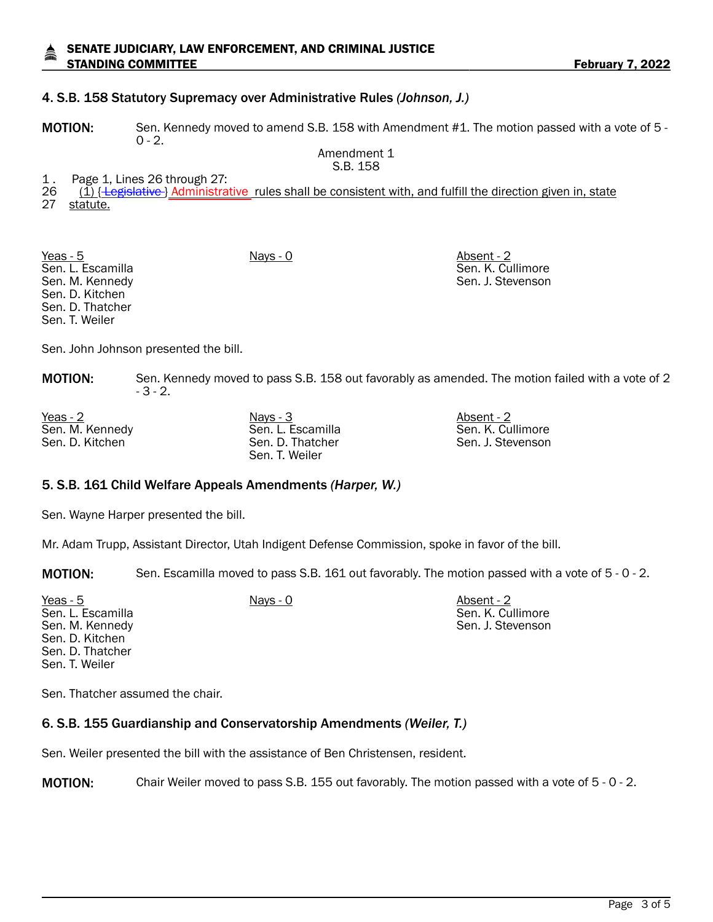# 4. S.B. 158 Statutory Supremacy over Administrative Rules *(Johnson, J.)*

MOTION: Sen. Kennedy moved to amend S.B. 158 with Amendment #1. The motion passed with a vote of 5 - $0 - 2.$ 

Amendment 1 S.B. 158

- 1. Page 1, Lines 26 through 27:<br>26 (1) <del>Hegislative</del> Moministra
- 26 (1) { Legislative } Administrative rules shall be consistent with, and fulfill the direction given in, state<br>27 statute.
- statute.

Yeas - 5 Nays - 0 Nays - 0 Absent - 2 Sen. L. Escamilla Sen. M. Kennedy Sen. D. Kitchen Sen. D. Thatcher Sen. T. Weiler

Sen. K. Cullimore Sen. J. Stevenson

Sen. John Johnson presented the bill.

MOTION: Sen. Kennedy moved to pass S.B. 158 out favorably as amended. The motion failed with a vote of 2 - 3 - 2.

Yeas - 2 Nays - 3 Nays - 3 Absent - 2 Sen. M. Kennedy Sen. D. Kitchen

Sen. L. Escamilla Sen. D. Thatcher Sen. T. Weiler

Sen. K. Cullimore Sen. J. Stevenson

### 5. S.B. 161 Child Welfare Appeals Amendments *(Harper, W.)*

Sen. Wayne Harper presented the bill.

Mr. Adam Trupp, Assistant Director, Utah Indigent Defense Commission, spoke in favor of the bill.

MOTION: Sen. Escamilla moved to pass S.B. 161 out favorably. The motion passed with a vote of 5 - 0 - 2.

| Yeas - $5$        | Nays - 0 | Absent - 2        |
|-------------------|----------|-------------------|
| Sen. L. Escamilla |          | Sen. K. Cullimore |
| Sen. M. Kennedy   |          | Sen. J. Stevenson |
| Sen. D. Kitchen   |          |                   |
| Sen. D. Thatcher  |          |                   |
| Sen. T. Weiler    |          |                   |
|                   |          |                   |

Sen. Thatcher assumed the chair.

# 6. S.B. 155 Guardianship and Conservatorship Amendments *(Weiler, T.)*

Sen. Weiler presented the bill with the assistance of Ben Christensen, resident.

MOTION: Chair Weiler moved to pass S.B. 155 out favorably. The motion passed with a vote of 5 - 0 - 2.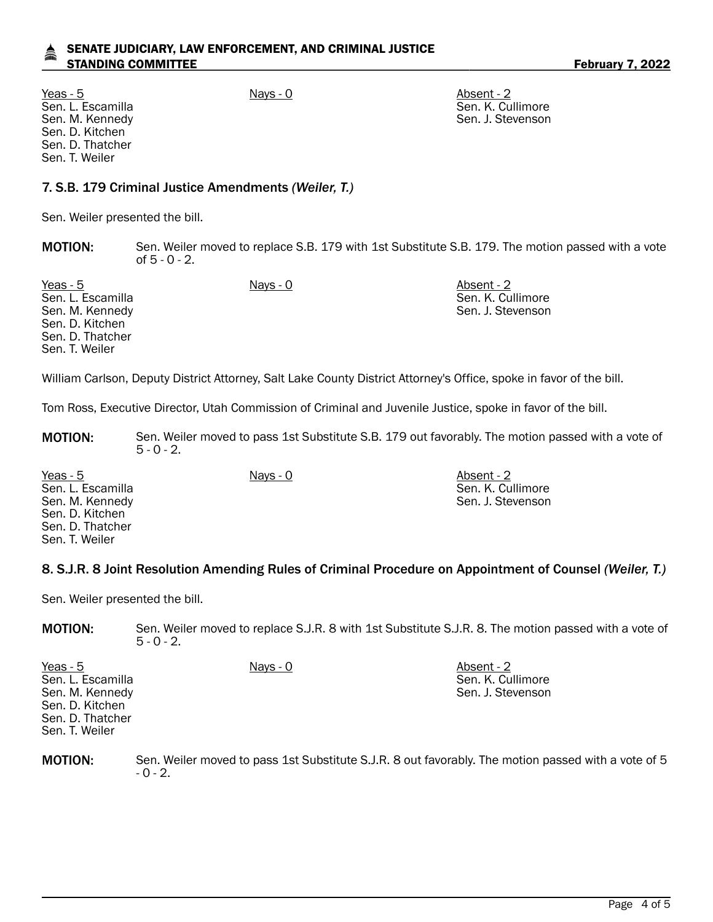# SENATE JUDICIARY, LAW ENFORCEMENT, AND CRIMINAL JUSTICE STANDING COMMITTEE **February 7, 2022**

Yeas - 5 Nays - 0 Absent - 2 Sen. L. Escamilla Sen. M. Kennedy Sen. D. Kitchen Sen. D. Thatcher Sen. T. Weiler

Sen. K. Cullimore Sen. J. Stevenson

Sen. K. Cullimore Sen. J. Stevenson

# 7. S.B. 179 Criminal Justice Amendments *(Weiler, T.)*

Sen. Weiler presented the bill.

MOTION: Sen. Weiler moved to replace S.B. 179 with 1st Substitute S.B. 179. The motion passed with a vote of 5 - 0 - 2.

Yeas - 5 Nays - 0 Absent - 2 Sen. L. Escamilla Sen. M. Kennedy Sen. D. Kitchen Sen. D. Thatcher Sen. T. Weiler Sen. K. Cullimore Sen. J. Stevenson

William Carlson, Deputy District Attorney, Salt Lake County District Attorney's Office, spoke in favor of the bill.

Tom Ross, Executive Director, Utah Commission of Criminal and Juvenile Justice, spoke in favor of the bill.

- MOTION: Sen. Weiler moved to pass 1st Substitute S.B. 179 out favorably. The motion passed with a vote of  $5 - 0 - 2$ .
- Yeas 5 Nays 0 Absent 2 Sen. L. Escamilla Sen. M. Kennedy Sen. D. Kitchen Sen. D. Thatcher Sen. T. Weiler

# 8. S.J.R. 8 Joint Resolution Amending Rules of Criminal Procedure on Appointment of Counsel *(Weiler, T.)*

Sen. Weiler presented the bill.

MOTION: Sen. Weiler moved to replace S.J.R. 8 with 1st Substitute S.J.R. 8. The motion passed with a vote of  $5 - 0 - 2$ .

| Yeas - $5$        | Nays - 0 | Absent - 2        |
|-------------------|----------|-------------------|
| Sen. L. Escamilla |          | Sen. K. Cullimore |
| Sen. M. Kennedy   |          | Sen. J. Stevenson |
| Sen. D. Kitchen   |          |                   |
| Sen. D. Thatcher  |          |                   |
| Sen. T. Weiler    |          |                   |
|                   |          |                   |

MOTION: Sen. Weiler moved to pass 1st Substitute S.J.R. 8 out favorably. The motion passed with a vote of 5  $-0 - 2.$